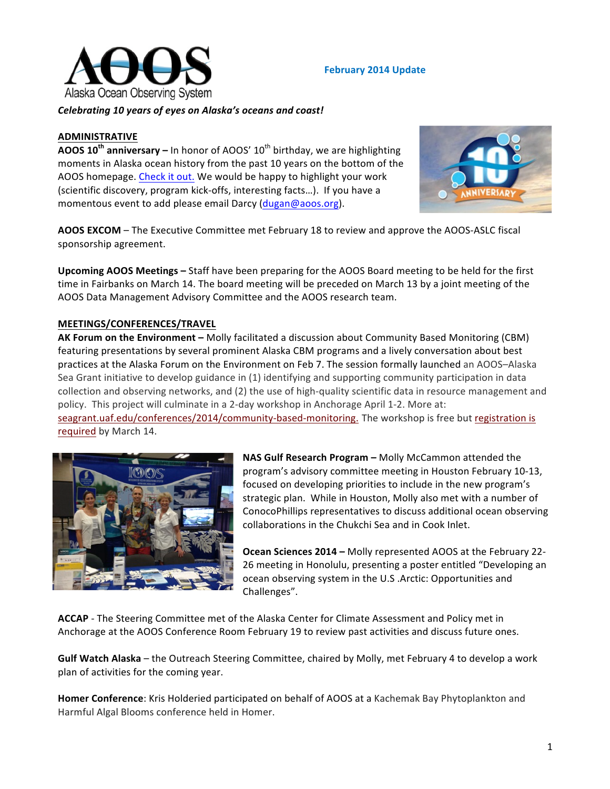

### **February 2014 Update**

*Celebrating 10 years of eyes on Alaska's oceans and coast!*

# **ADMINISTRATIVE**

**AOOS 10<sup>th</sup> anniversary** – In honor of AOOS' 10<sup>th</sup> birthday, we are highlighting moments in Alaska ocean history from the past 10 years on the bottom of the AOOS homepage. Check it out. We would be happy to highlight your work (scientific discovery, program kick-offs, interesting facts...). If you have a momentous event to add please email Darcy (dugan@aoos.org).



**AOOS EXCOM** – The Executive Committee met February 18 to review and approve the AOOS-ASLC fiscal sponsorship agreement.

**Upcoming AOOS Meetings** – Staff have been preparing for the AOOS Board meeting to be held for the first time in Fairbanks on March 14. The board meeting will be preceded on March 13 by a joint meeting of the AOOS Data Management Advisory Committee and the AOOS research team.

### **MEETINGS/CONFERENCES/TRAVEL**

AK Forum on the Environment - Molly facilitated a discussion about Community Based Monitoring (CBM) featuring presentations by several prominent Alaska CBM programs and a lively conversation about best practices at the Alaska Forum on the Environment on Feb 7. The session formally launched an AOOS-Alaska Sea Grant initiative to develop guidance in (1) identifying and supporting community participation in data collection and observing networks, and (2) the use of high-quality scientific data in resource management and policy. This project will culminate in a 2-day workshop in Anchorage April 1-2. More at:

seagrant.uaf.edu/conferences/2014/community-based-monitoring. The workshop is free but registration is required by March 14.



**NAS Gulf Research Program –** Molly McCammon attended the program's advisory committee meeting in Houston February 10-13, focused on developing priorities to include in the new program's strategic plan. While in Houston, Molly also met with a number of ConocoPhillips representatives to discuss additional ocean observing collaborations in the Chukchi Sea and in Cook Inlet.

**Ocean Sciences 2014 – Molly represented AOOS at the February 22-**26 meeting in Honolulu, presenting a poster entitled "Developing an ocean observing system in the U.S .Arctic: Opportunities and Challenges".

ACCAP - The Steering Committee met of the Alaska Center for Climate Assessment and Policy met in Anchorage at the AOOS Conference Room February 19 to review past activities and discuss future ones.

**Gulf Watch Alaska** – the Outreach Steering Committee, chaired by Molly, met February 4 to develop a work plan of activities for the coming year.

**Homer Conference:** Kris Holderied participated on behalf of AOOS at a Kachemak Bay Phytoplankton and Harmful Algal Blooms conference held in Homer.